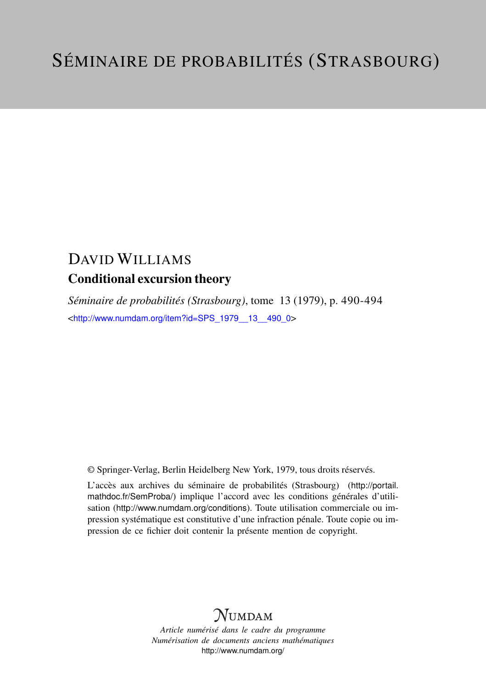## DAVID WILLIAMS Conditional excursion theory

*Séminaire de probabilités (Strasbourg)*, tome 13 (1979), p. 490-494 <[http://www.numdam.org/item?id=SPS\\_1979\\_\\_13\\_\\_490\\_0](http://www.numdam.org/item?id=SPS_1979__13__490_0)>

© Springer-Verlag, Berlin Heidelberg New York, 1979, tous droits réservés.

L'accès aux archives du séminaire de probabilités (Strasbourg) ([http://portail.](http://portail.mathdoc.fr/SemProba/) [mathdoc.fr/SemProba/](http://portail.mathdoc.fr/SemProba/)) implique l'accord avec les conditions générales d'utilisation (<http://www.numdam.org/conditions>). Toute utilisation commerciale ou impression systématique est constitutive d'une infraction pénale. Toute copie ou impression de ce fichier doit contenir la présente mention de copyright.

# **NUMDAM**

*Article numérisé dans le cadre du programme Numérisation de documents anciens mathématiques* <http://www.numdam.org/>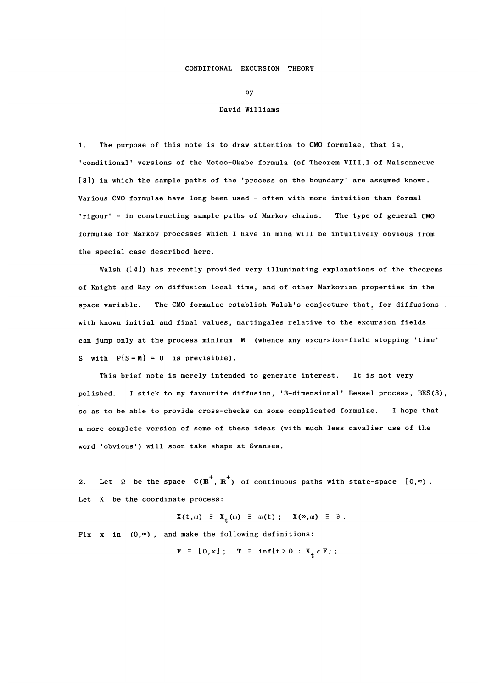#### CONDITIONAL EXCURSION THEORY

by

#### David Williams

1. The purpose of this note is to draw attention to CMO formulae, that is, 'conditional' versions of the Motoo-Okabe formula (of Theorem VIII.1 of Maisonneuve [3]) in which the sample paths of the 'process on the boundary' are assumed known. Various CMO formulae have long been used - often with more intuition than formal 'rigour' - in constructing sample paths of Markov chains. The type of general CMO formulae for Markov processes which I have in mind will be intuitively obvious from the special case described here.

Walsh ([4]) has recently provided very illuminating explanations of the theorems of Knight and Ray on diffusion local time, and of other Markovian properties in the space variable. The CMO formulae establish Walsh's conjecture that, for diffusions with known initial and final values, martingales relative to the excursion fields can jump only at the process minimum M (whence any excursion-field stopping 'time' S with  $P{S=M} = 0$  is previsible).

This brief note is merely intended to generate interest. It is not very polished. I stick to my favourite diffusion, '3-dimensional' Bessel process, BES(3), so as to be able to provide cross-checks on some complicated formulae. I hope that a more complete version of some of these ideas (with much less cavalier use of the word 'obvious') will soon take shape at Swansea.

2. Let  $\Omega$  be the space  $C(R^+, R^+)$  of continuous paths with state-space  $[0, \infty)$ . Let X be the coordinate process:

 $X(t, \omega) \equiv X_t(\omega) \equiv \omega(t)$ ;  $X(\infty, \omega) \equiv \partial$ .

Fix x in  $(0, \infty)$ , and make the following definitions:

 $F \equiv [0, x];$   $T \equiv \inf\{t > 0 : X_t \in F\};$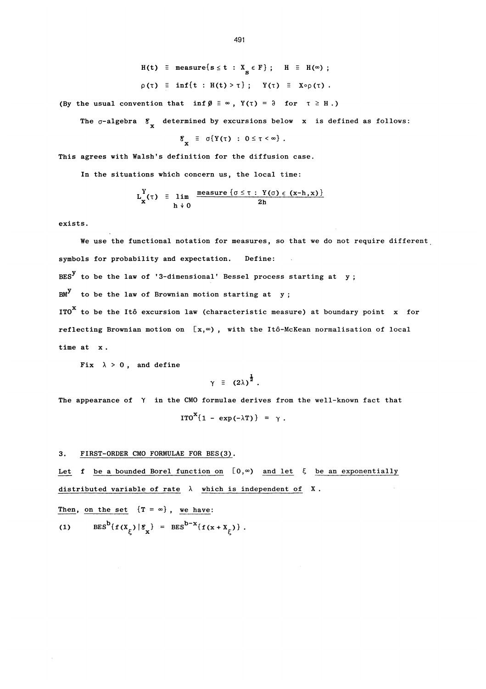$H(t) \equiv measure{s \leq t : X_{\mathbf{g}} \in F}; \quad H \equiv H(\infty);$  $\rho(\tau) \equiv \inf\{t : H(t) > \tau\}$ ;  $Y(\tau) \equiv X \circ \rho(\tau)$ .

(By the usual convention that  $\inf \emptyset \equiv \infty$ ,  $Y(\tau) = \partial$  for  $\tau \geq H$ .)

The  $\sigma$ -algebra  $\mathscr{E}_{\mathbf{x}}$  determined by excursions below x is defined as follows:

$$
g_{\mathbf{x}} \equiv \sigma\{Y(\tau) : 0 \leq \tau < \infty\}.
$$

This agrees with Walsh's definition for the diffusion case.

In the situations which concern us, the local time:

$$
L_X^Y(\tau) = \lim_{h \to 0} \frac{\text{measure } \{\sigma \leq \tau : Y(\sigma) \in (x-h, x) \}}{2h}
$$

exists.

We use the functional notation for measures, so that we do not require different symbols for probability and expectation. Define:  $BES<sup>y</sup>$  to be the law of '3-dimensional' Bessel process starting at y;  $BM<sup>y</sup>$  to be the law of Brownian motion starting at y; ITO $^{\text{X}}$  to be the Itô excursion law (characteristic measure) at boundary point x for reflecting Brownian motion on  $[x, \infty)$ , with the Itô-McKean normalisation of local time at x.

Fix  $\lambda > 0$ , and define

$$
\gamma = (2\lambda)^{\frac{1}{2}}.
$$

The appearance of  $\gamma$  in the CMO formulae derives from the well-known fact that

 $\text{ITO}^{\mathbf{X}}\{1 - \exp(-\lambda \mathbf{T})\} = \gamma$ .

### 3. FIRST-ORDER CMO FORMULAE FOR BES(3).

Let f be a bounded Borel function on  $[0, \infty)$  and let  $\zeta$  be an exponentially 3. FIRST-ORDER CMO FORMULAE FOR BES(3).<br>Let f be a bounded Borel function on  $[0,\infty)$  and let  $\xi$  be an exponentiall<br>distributed variable of rate  $\lambda$  which is independent of X.

Then, on the set  ${T = \infty}$ , we have: (1)  $BES^b{f(x_\xi)} |g_x] = BES^{b-x}{f(x + x_\xi)}$ .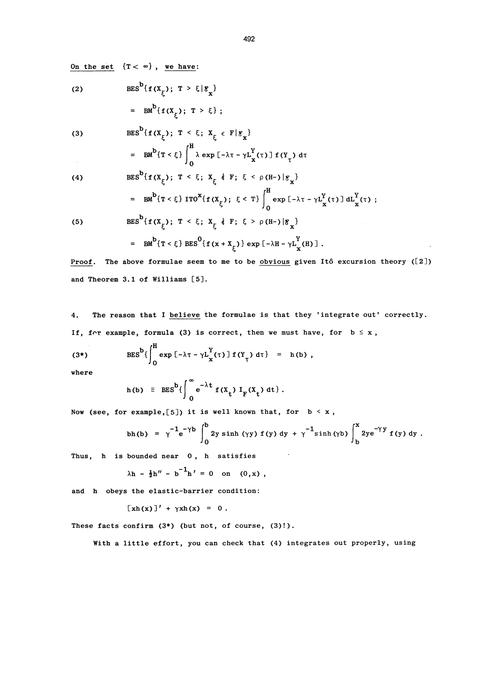On the set  ${T < \infty}$ , we have:

(2) 
$$
BES^{D}{f(x_{\xi})}; T > \xi | \xi_{x}
$$

$$
= BM^{D}{f(x_{\xi})}; T > \xi};
$$

(3) 
$$
BES^{D}\lbrace f(X_{\xi}); T < \xi; X_{\xi} \in F | \mathcal{E}_{x} \rbrace
$$

$$
= \text{BM}^{\text{b}}\{\text{T} < \xi\} \bigg|_0^{\infty} \lambda \exp\left[-\lambda\tau - \gamma L_{\text{X}}^{\text{Y}}(\tau)\right] \text{f}(Y_{\tau}) d\tau
$$

(4) 
$$
BES^{b}\{f(X_{\xi}); T < \xi; X_{\xi} \notin F; \xi < \rho(H-)|g_{x}\}\
$$

$$
= BM^{b}\{T < \xi\} ITO^{x}\{f(X_{\xi}); \xi < T\}\int_{0}^{H} \exp[-\lambda T - \gamma L_{x}^{Y}(\tau)] dL_{x}^{Y}(\tau);
$$
(5) 
$$
BES^{b}\{f(X_{\xi}); T < \xi; X_{\xi} \notin F; \xi > \rho(H-)|g_{x}\}\
$$

$$
= BM^{b}\{T < \xi\} BES^{0}\{f(x + X_{\xi})\} \exp[-\lambda H - \gamma L_{x}^{Y}(H)].
$$

(5) 
$$
BES^{b}{f(x_{\xi})}; T < \xi; X_{\xi} \downarrow F; \xi > \rho(H-) |g_{x}
$$

= 
$$
BM^b{T \lt \xi} BES^0{f(x + x_{\xi})} \exp[-\lambda H - \gamma L_x^Y(H)].
$$

Proof. The above formulae seem to me to be obvious given Itô excursion theory ([2]) and Theorem 3.1 of Williams [5].

4. The reason that I believe the formulae is that they 'integrate out' correctly. If, for example, formula (3) is correct, then we must have, for  $b \le x$ ,

(3\*) 
$$
BES^{b}\left\{\int_{0}^{H} \exp \left[-\lambda \tau - \gamma L_{X}^{Y}(\tau)\right] f(Y_{\tau}) d\tau\right\} = h(b),
$$

where

$$
h(b) \equiv BES^b \left\{ \int_0^\infty e^{-\lambda t} f(x_t) I_F(x_t) dt \right\}.
$$

Now (see, for example, [5]) it is well known that, for  $b < x$ ,

bh(b) = 
$$
\gamma^{-1} e^{-\gamma b} \int_0^b 2y \sinh(\gamma y) f(y) dy + \gamma^{-1} \sinh(\gamma b) \int_b^x 2ye^{-\gamma y} f(y) dy
$$
.

Thus,  $h$  is bounded near  $0$ ,  $h$  satisfies

$$
\lambda h - \frac{1}{2}h'' - b^{-1}h' = 0 \text{ on } (0, x),
$$

and h obeys the elastic-barrier condition:

$$
[\n\chi h(x)]' + \gamma x h(x) = 0.
$$

These facts confirm  $(3^*)$  (but not, of course,  $(3)!$ ).

With a little effort, you can check that (4) integrates out properly, using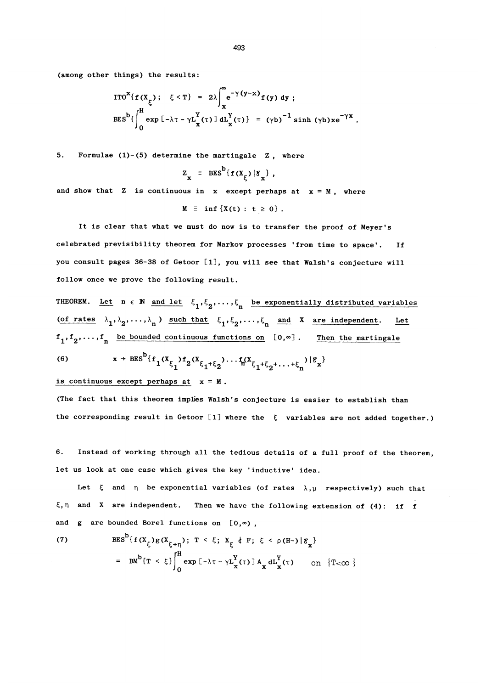(among other things) the results:

$$
ITO^{X}\lbrace f(X_{\xi}); \quad \xi < T \rbrace = 2\lambda \int_{x}^{\infty} e^{-\gamma(y-x)} f(y) dy ;
$$
  
\n
$$
BES^{b}\lbrace \int_{0}^{H} \exp\left[-\lambda \tau - \gamma L_{x}^{Y}(\tau)\right] dL_{x}^{Y}(\tau) \rbrace = (\gamma b)^{-1} \sinh(\gamma b) x e^{-\gamma x} .
$$

5. Formulae  $(1)-(5)$  determine the martingale Z, where

$$
z_x = BES^b{f(x_\xi) |g_x},
$$

and show that Z is continuous in x except perhaps at  $x = M$ , where

 $M \equiv \inf \{X(t) : t \geq 0\}$ .

It is clear that what we must do now is to transfer the proof of Meyer's celebrated previsibility theorem for Markov processes 'from time to space'. If you consult pages 36-38 of Getoor [lJ, you will see that Walsh's conjecture will follow once we prove the following result.

THEOREM. Let  $n \in \mathbb{N}$  and let  $\xi_1, \xi_2, \ldots, \xi_n$  be exponentially distributed variables (of rates  $\lambda_1, \lambda_2, ..., \lambda_n$ ) such that  $\xi_1, \xi_2, ..., \xi_n$  and X are independent. Let  $f_1, f_2, \ldots, f_n$  be bounded continuous functions on  $[0, \infty]$ . Then the martingale

(6) 
$$
x \to BES^D{f_1(X_{\xi_1})f_2(X_{\xi_1+\xi_2})\cdots f_n(X_{\xi_1+\xi_2+\cdots+\xi_n})|\xi_x}
$$

is continuous except perhaps at  $x = M$ .

(The fact that this theorem implies Walsh's conjecture is easier to establish than the corresponding result in Getoor [1] where the  $~\xi~$  variables are not added together.)

6. Instead of working through all the tedious details of a full proof of the theorem, let us look at one case which gives the key 'inductive' idea.

Let  $\xi$  and  $\eta$  be exponential variables (of rates  $\lambda, \mu$  respectively) such that  $\xi, \eta$  and X are independent. Then we have the following extension of (4): if f and g are bounded Borel functions on  $[0,\infty)$ ,

(7) 
$$
BES^{D}\{f(X_{\xi})g(X_{\xi+\eta})\}; T < \xi; X_{\xi} \notin F; \xi < \rho(H-) | \mathcal{E}_{\chi}\}\n= BM^{D}\{T < \xi\} \int_{0}^{H} \exp\left[-\lambda \tau - \gamma L^{Y}_{X}(\tau)\right] A_{X} dL^{Y}_{X}(\tau) \quad \text{on } \{T < \infty\}\n\}
$$